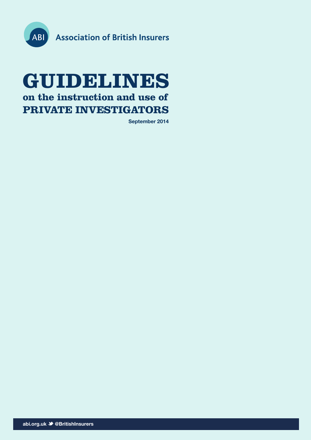

## **GUIDELINES on the instruction and use of PRIVATE INVESTIGATORS**

**September 2014**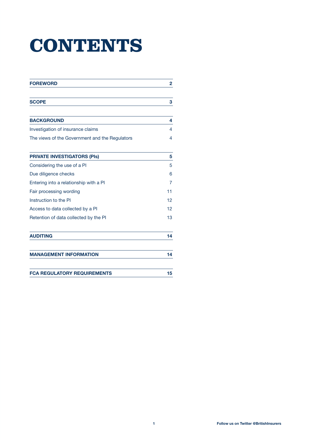# **CONTENTS**

| <b>FOREWORD</b>                                | 2  |
|------------------------------------------------|----|
| <b>SCOPE</b>                                   | 3  |
| <b>BACKGROUND</b>                              | 4  |
| Investigation of insurance claims              | 4  |
| The views of the Government and the Regulators | 4  |
| <b>PRIVATE INVESTIGATORS (PIs)</b>             | 5  |
| Considering the use of a PI                    | 5  |
| Due diligence checks                           | 6  |
| Entering into a relationship with a PI         | 7  |
| Fair processing wording                        | 11 |
| Instruction to the PI                          | 12 |
| Access to data collected by a PI               | 12 |
| Retention of data collected by the PI          | 13 |
| <b>AUDITING</b>                                | 14 |
| <b>MANAGEMENT INFORMATION</b>                  | 14 |
| <b>FCA REGULATORY REQUIREMENTS</b>             | 15 |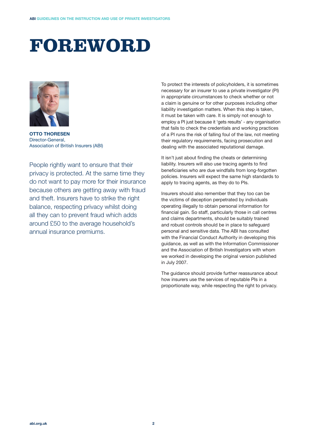## **FOREWORD**



**OTTO THORESEN**  Director-General, Association of British Insurers (ABI)

People rightly want to ensure that their privacy is protected. At the same time they do not want to pay more for their insurance because others are getting away with fraud and theft. Insurers have to strike the right balance, respecting privacy whilst doing all they can to prevent fraud which adds around £50 to the average household's annual insurance premiums.

To protect the interests of policyholders, it is sometimes necessary for an insurer to use a private investigator (PI) in appropriate circumstances to check whether or not a claim is genuine or for other purposes including other liability investigation matters. When this step is taken, it must be taken with care. It is simply not enough to employ a PI just because it 'gets results' - any organisation that fails to check the credentials and working practices of a PI runs the risk of falling foul of the law, not meeting their regulatory requirements, facing prosecution and dealing with the associated reputational damage.

It isn't just about finding the cheats or determining liability. Insurers will also use tracing agents to find beneficiaries who are due windfalls from long-forgotten policies. Insurers will expect the same high standards to apply to tracing agents, as they do to PIs.

Insurers should also remember that they too can be the victims of deception perpetrated by individuals operating illegally to obtain personal information for financial gain. So staff, particularly those in call centres and claims departments, should be suitably trained and robust controls should be in place to safeguard personal and sensitive data. The ABI has consulted with the Financial Conduct Authority in developing this guidance, as well as with the Information Commissioner and the Association of British Investigators with whom we worked in developing the original version published in July 2007.

The guidance should provide further reassurance about how insurers use the services of reputable PIs in a proportionate way, while respecting the right to privacy.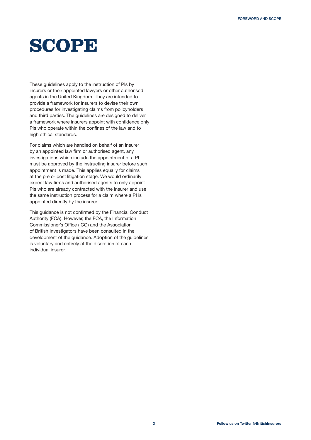## **SCOPE**

These guidelines apply to the instruction of PIs by insurers or their appointed lawyers or other authorised agents in the United Kingdom. They are intended to provide a framework for insurers to devise their own procedures for investigating claims from policyholders and third parties. The guidelines are designed to deliver a framework where insurers appoint with confidence only PIs who operate within the confines of the law and to high ethical standards.

For claims which are handled on behalf of an insurer by an appointed law firm or authorised agent, any investigations which include the appointment of a PI must be approved by the instructing insurer before such appointment is made. This applies equally for claims at the pre or post litigation stage. We would ordinarily expect law firms and authorised agents to only appoint PIs who are already contracted with the insurer and use the same instruction process for a claim where a PI is appointed directly by the insurer.

This guidance is not confirmed by the Financial Conduct Authority (FCA). However, the FCA, the Information Commissioner's Office (ICO) and the Association of British Investigators have been consulted in the development of the guidance. Adoption of the guidelines is voluntary and entirely at the discretion of each individual insurer.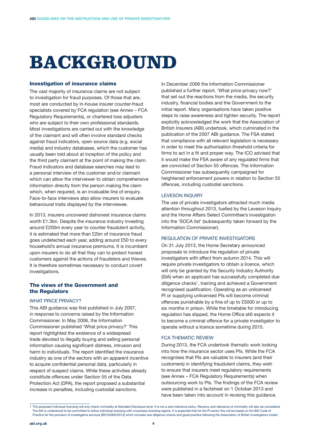## **BACKGROUND**

#### Investigation of insurance claims

The vast majority of insurance claims are not subject to investigation for fraud purposes. Of those that are, most are conducted by in-house insurer counter-fraud specialists covered by FCA regulation (see Annex – FCA Regulatory Requirements), or chartered loss adjusters who are subject to their own professional standards. Most investigations are carried out with the knowledge of the claimant and will often involve standard checks against fraud indicators, open source data (e.g. social media) and industry databases, which the customer has usually been told about at inception of the policy and the third party claimant at the point of making the claim. Fraud indicators and database searches may lead to a personal interview of the customer and/or claimant which can allow the interviewer to obtain comprehensive information directly from the person making the claim which, when required, is an invaluable line of enquiry. Face-to-face interviews also allow insurers to evaluate behavioural traits displayed by the interviewee.

In 2013, insurers uncovered dishonest insurance claims worth £1.3bn. Despite the insurance industry investing around £200m every year to counter fraudulent activity, it is estimated that more than £2bn of insurance fraud goes undetected each year, adding around £50 to every household's annual insurance premiums. It is incumbent upon insurers to do all that they can to protect honest customers against the actions of fraudsters and thieves. It is therefore sometimes necessary to conduct covert investigations.

## The views of the Government and the Regulators

### WHAT PRICE PRIVACY?

This ABI guidance was first published in July 2007, in response to concerns raised by the Information Commissioner. In May 2006, the Information Commissioner published 'What price privacy?' This report highlighted the existence of a widespread trade devoted to illegally buying and selling personal information causing significant distress, intrusion and harm to individuals. The report identified the insurance industry as one of the sectors with an apparent incentive to acquire confidential personal data, particularly in respect of suspect claims. While these activities already constitute offences under Section 55 of the Data Protection Act (DPA), the report proposed a substantial increase in penalties, including custodial sanctions.

In December 2006 the Information Commissioner published a further report, 'What price privacy now?' that set out the reactions from the media, the security industry, financial bodies and the Government to the initial report. Many organisations have taken positive steps to raise awareness and tighten security. The report explicitly acknowledged the work that the Association of British Insurers (ABI) undertook, which culminated in the publication of the 2007 ABI guidance. The FSA stated that compliance with all relevant legislation is necessary in order to meet the authorisation threshold criteria for firms to act in a fit and proper way. The ICO advised that it would make the FSA aware of any regulated firms that are convicted of Section 55 offences. The Information Commissioner has subsequently campaigned for heightened enforcement powers in relation to Section 55 offences, including custodial sanctions.

#### LEVESON INQUIRY

The use of private investigators attracted much media attention throughout 2013, fuelled by the Leveson Inquiry and the Home Affairs Select Committee's investigation into the 'SOCA list' (subsequently taken forward by the Information Commissioner).

## REGULATION OF PRIVATE INVESTIGATORS

On 31 July 2013, the Home Secretary announced proposals to introduce the regulation of private investigators with effect from autumn 2014. This will require private investigators to obtain a licence, which will only be granted by the Security Industry Authority (SIA) when an applicant has successfully completed due diligence checks<sup>1</sup>, training and achieved a Government recognised qualification. Operating as an unlicensed PI or supplying unlicensed PIs will become criminal offences punishable by a fine of up to £5000 or up to six months in prison. While the timetable for introducing regulation has slipped, the Home Office still expects it to become a criminal offence for a private investigator to operate without a licence sometime during 2015.

#### FCA THEMATIC REVIEW

During 2013, the FCA undertook thematic work looking into how the insurance sector uses PIs. While the FCA recognises that PIs are valuable to insurers (and their customers) in identifying fraudulent claims, they wish to ensure that insurers meet regulatory requirements (see Annex – FCA Regulatory Requirements) when outsourcing work to PIs. The findings of the FCA review were published in a factsheet on 1 October 2013 and have been taken into account in revising this guidance.

<sup>1</sup> The proposed individual licensing will only check criminality at Standard Disclosure level. It is not a zero tolerance policy. Recency and relevance of criminality will also be considered. The SIA is understood to be committed to follow individual licensing with a business licensing regime. It is expected that for the PI sector this will be based on the BSi Code of Practice for the provision of investigative services [BS102000/2013] which includes due diligence checks and good practice following the Association of British Investigators model.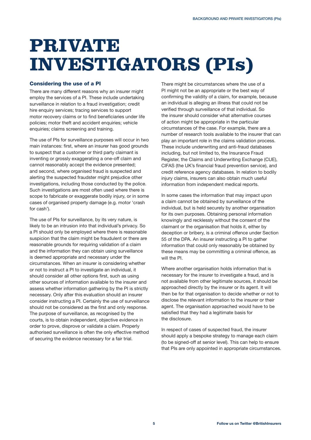## **PRIVATE INVESTIGATORS (PIs)**

## Considering the use of a PI

There are many different reasons why an insurer might employ the services of a PI. These include undertaking surveillance in relation to a fraud investigation; credit hire enquiry services; tracing services to support motor recovery claims or to find beneficiaries under life policies; motor theft and accident enquiries; vehicle enquiries; claims screening and training.

The use of PIs for surveillance purposes will occur in two main instances: first, where an insurer has good grounds to suspect that a customer or third party claimant is inventing or grossly exaggerating a one-off claim and cannot reasonably accept the evidence presented; and second, where organised fraud is suspected and alerting the suspected fraudster might prejudice other investigations, including those conducted by the police. Such investigations are most often used where there is scope to fabricate or exaggerate bodily injury, or in some cases of organised property damage (e.g. motor 'crash for cash').

The use of PIs for surveillance, by its very nature, is likely to be an intrusion into that individual's privacy. So a PI should only be employed where there is reasonable suspicion that the claim might be fraudulent or there are reasonable grounds for requiring validation of a claim and the information they can obtain using surveillance is deemed appropriate and necessary under the circumstances. When an insurer is considering whether or not to instruct a PI to investigate an individual, it should consider all other options first, such as using other sources of information available to the insurer and assess whether information gathering by the PI is strictly necessary. Only after this evaluation should an insurer consider instructing a PI. Certainly the use of surveillance should not be considered as the first and only response. The purpose of surveillance, as recognised by the courts, is to obtain independent, objective evidence in order to prove, disprove or validate a claim. Properly authorised surveillance is often the only effective method of securing the evidence necessary for a fair trial.

There might be circumstances where the use of a PI might not be an appropriate or the best way of confirming the validity of a claim, for example, because an individual is alleging an illness that could not be verified through surveillance of that individual. So the insurer should consider what alternative courses of action might be appropriate in the particular circumstances of the case. For example, there are a number of research tools available to the insurer that can play an important role in the claims validation process. These include underwriting and anti-fraud databases including, but not limited to, the Insurance Fraud Register, the Claims and Underwriting Exchange (CUE), CIFAS (the UK's financial fraud prevention service), and credit reference agency databases. In relation to bodily injury claims, insurers can also obtain much useful information from independent medical reports.

In some cases the information that may impact upon a claim cannot be obtained by surveillance of the individual, but is held securely by another organisation for its own purposes. Obtaining personal information knowingly and recklessly without the consent of the claimant or the organisation that holds it, either by deception or bribery, is a criminal offence under Section 55 of the DPA. An insurer instructing a PI to gather information that could only reasonably be obtained by these means may be committing a criminal offence, as will the PI.

Where another organisation holds information that is necessary for the insurer to investigate a fraud, and is not available from other legitimate sources, it should be approached directly by the insurer or its agent. It will then be for that organisation to decide whether or not to disclose the relevant information to the insurer or their agent. The organisation approached would have to be satisfied that they had a legitimate basis for the disclosure.

In respect of cases of suspected fraud, the insurer should apply a bespoke strategy to manage each claim (to be signed-off at senior level). This can help to ensure that PIs are only appointed in appropriate circumstances.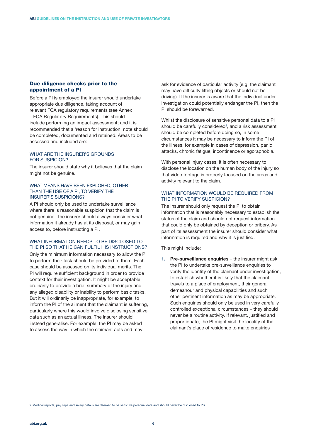## Due diligence checks prior to the appointment of a PI

Before a PI is employed the insurer should undertake appropriate due diligence, taking account of relevant FCA regulatory requirements (see Annex – FCA Regulatory Requirements). This should include performing an impact assessment; and it is recommended that a 'reason for instruction' note should be completed, documented and retained. Areas to be assessed and included are:

### WHAT ARE THE INSURER'S GROUNDS FOR SUSPICION?

The insurer should state why it believes that the claim might not be genuine.

#### WHAT MEANS HAVE BEEN EXPLORED, OTHER THAN THE USE OF A PI, TO VERIFY THE INSURER'S SUSPICIONS?

A PI should only be used to undertake surveillance where there is reasonable suspicion that the claim is not genuine. The insurer should always consider what information it already has at its disposal, or may gain access to, before instructing a PI.

## WHAT INFORMATION NEEDS TO BE DISCLOSED TO THE PI SO THAT HE CAN FULFIL HIS INSTRUCTIONS?

Only the minimum information necessary to allow the PI to perform their task should be provided to them. Each case should be assessed on its individual merits. The PI will require sufficient background in order to provide context for their investigation. It might be acceptable ordinarily to provide a brief summary of the injury and any alleged disability or inability to perform basic tasks. But it will ordinarily be inappropriate, for example, to inform the PI of the ailment that the claimant is suffering, particularly where this would involve disclosing sensitive data such as an actual illness. The insurer should instead generalise. For example, the PI may be asked to assess the way in which the claimant acts and may

ask for evidence of particular activity (e.g. the claimant may have difficulty lifting objects or should not be driving). If the insurer is aware that the individual under investigation could potentially endanger the PI, then the PI should be forewarned.

Whilst the disclosure of sensitive personal data to a PI should be carefully considered<sup>2</sup>, and a risk assessment should be completed before doing so, in some circumstances it may be necessary to inform the PI of the illness, for example in cases of depression, panic attacks, chronic fatigue, incontinence or agoraphobia.

With personal injury cases, it is often necessary to disclose the location on the human body of the injury so that video footage is properly focused on the areas and activity relevant to the claim.

## WHAT INFORMATION WOULD BE REQUIRED FROM THE PI TO VERIFY SUSPICION?

The insurer should only request the PI to obtain information that is reasonably necessary to establish the status of the claim and should not request information that could only be obtained by deception or bribery. As part of its assessment the insurer should consider what information is required and why it is justified.

This might include:

**1.** Pre-surveillance enquiries – the insurer might ask the PI to undertake pre-surveillance enquiries to verify the identity of the claimant under investigation, to establish whether it is likely that the claimant travels to a place of employment, their general demeanour and physical capabilities and such other pertinent information as may be appropriate. Such enquiries should only be used in very carefully controlled exceptional circumstances – they should never be a routine activity. If relevant, justified and proportionate, the PI might visit the locality of the claimant's place of residence to make enquiries

<sup>2</sup> Medical reports, pay slips and salary details are deemed to be sensitive personal data and should never be disclosed to PIs.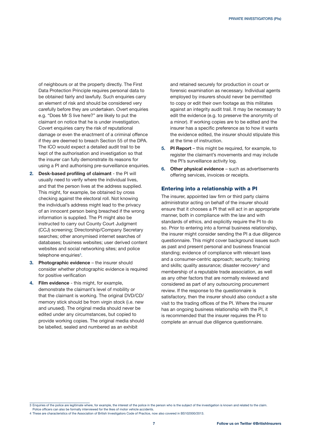of neighbours or at the property directly. The First Data Protection Principle requires personal data to be obtained fairly and lawfully. Such enquiries carry an element of risk and should be considered very carefully before they are undertaken. Overt enquiries e.g. "Does Mr S live here?" are likely to put the claimant on notice that he is under investigation. Covert enquiries carry the risk of reputational damage or even the enactment of a criminal offence if they are deemed to breach Section 55 of the DPA. The ICO would expect a detailed audit trail to be kept of the authorisation and investigation so that the insurer can fully demonstrate its reasons for using a PI and authorising pre-surveillance enquiries.

- **2. Desk-based profiling of claimant** the PI will usually need to verify where the individual lives, and that the person lives at the address supplied. This might, for example, be obtained by cross checking against the electoral roll. Not knowing the individual's address might lead to the privacy of an innocent person being breached if the wrong information is supplied. The PI might also be instructed to carry out County Court Judgment (CCJ) screening; Directorship/Company Secretary searches; other anonymised internet searches of databases; business websites; user derived content websites and social networking sites; and police telephone enquiries $^{\rm 3}.$
- **3. Photographic evidence** the insurer should consider whether photographic evidence is required for positive verification
- **4. Film evidence**  this might, for example, demonstrate the claimant's level of mobility or that the claimant is working. The original DVD/CD/ memory stick should be from virgin stock (i.e. new and unused). The original media should never be edited under any circumstances, but copied to provide working copies. The original media should be labelled, sealed and numbered as an exhibit

and retained securely for production in court or forensic examination as necessary. Individual agents employed by insurers should never be permitted to copy or edit their own footage as this militates against an integrity audit trail. It may be necessary to edit the evidence (e.g. to preserve the anonymity of a minor). If working copies are to be edited and the insurer has a specific preference as to how it wants the evidence edited, the insurer should stipulate this at the time of instruction.

- **5. PI Report** this might be required, for example, to register the claimant's movements and may include the PI's surveillance activity log.
- **6. Other physical evidence** such as advertisements offering services, invoices or receipts.

#### Entering into a relationship with a PI

The insurer, appointed law firm or third party claims administrator acting on behalf of the insurer should ensure that it chooses a PI that will act in an appropriate manner, both in compliance with the law and with standards of ethics, and explicitly require the PI to do so. Prior to entering into a formal business relationship, the insurer might consider sending the PI a due diligence questionnaire. This might cover background issues such as past and present personal and business financial standing; evidence of compliance with relevant laws and a consumer-centric approach; security; training and skills; quality assurance; disaster recovery<sup>4</sup> and membership of a reputable trade association, as well as any other factors that are normally reviewed and considered as part of any outsourcing procurement review. If the response to the questionnaire is satisfactory, then the insurer should also conduct a site visit to the trading offices of the PI. Where the insurer has an ongoing business relationship with the PI, it is recommended that the insurer requires the PI to complete an annual due diligence questionnaire.

<sup>3</sup> Enquiries of the police are legitimate where, for example, the interest of the police in the person who is the subject of the investigation is known and related to the claim.

Police officers can also be formally interviewed for the likes of motor vehicle accidents.

<sup>4</sup> These are characteristics of the Association of British Investigators Code of Practice, now also covered in BS102000/2013.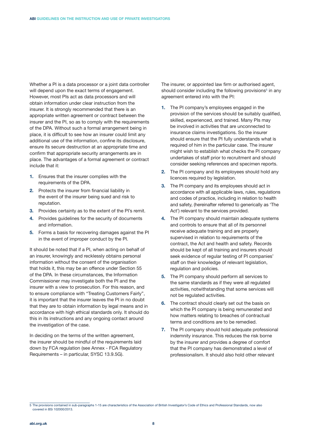Whether a PI is a data processor or a joint data controller will depend upon the exact terms of engagement. However, most PIs act as data processors and will obtain information under clear instruction from the insurer. It is strongly recommended that there is an appropriate written agreement or contract between the insurer and the PI, so as to comply with the requirements of the DPA. Without such a formal arrangement being in place, it is difficult to see how an insurer could limit any additional use of the information, confine its disclosure, ensure its secure destruction at an appropriate time and confirm that appropriate security arrangements are in place. The advantages of a formal agreement or contract include that it:

- **1.** Ensures that the insurer complies with the requirements of the DPA.
- **2.** Protects the insurer from financial liability in the event of the insurer being sued and risk to reputation.
- **3.** Provides certainty as to the extent of the PI's remit.
- **4.** Provides guidelines for the security of documents and information.
- **5.** Forms a basis for recovering damages against the PI in the event of improper conduct by the PI.

It should be noted that if a PI, when acting on behalf of an insurer, knowingly and recklessly obtains personal information without the consent of the organisation that holds it, this may be an offence under Section 55 of the DPA. In these circumstances, the Information Commissioner may investigate both the PI and the insurer with a view to prosecution. For this reason, and to ensure compliance with "Treating Customers Fairly", it is important that the insurer leaves the PI in no doubt that they are to obtain information by legal means and in accordance with high ethical standards only. It should do this in its instructions and any ongoing contact around the investigation of the case.

In deciding on the terms of the written agreement, the insurer should be mindful of the requirements laid down by FCA regulation (see Annex - FCA Regulatory Requirements – in particular, SYSC 13.9.5G).

The insurer, or appointed law firm or authorised agent, should consider including the following provisions<sup>5</sup> in any agreement entered into with the PI:

- **1.** The PI company's employees engaged in the provision of the services should be suitably qualified, skilled, experienced, and trained. Many PIs may be involved in activities that are unconnected to insurance claims investigations. So the insurer should ensure that the PI fully understands what is required of him in the particular case. The insurer might wish to establish what checks the PI company undertakes of staff prior to recruitment and should consider seeking references and specimen reports.
- **2.** The PI company and its employees should hold any licences required by legislation.
- **3.** The PI company and its employees should act in accordance with all applicable laws, rules, regulations and codes of practice, including in relation to health and safety, (hereinafter referred to generically as 'The Act') relevant to the services provided.
- **4.** The PI company should maintain adequate systems and controls to ensure that all of its personnel receive adequate training and are properly supervised in relation to requirements of the contract, the Act and health and safety. Records should be kept of all training and insurers should seek evidence of regular testing of PI companies' staff on their knowledge of relevant legislation. regulation and policies.
- **5.** The PI company should perform all services to the same standards as if they were all regulated activities, notwithstanding that some services will not be regulated activities.
- **6.** The contract should clearly set out the basis on which the PI company is being remunerated and how matters relating to breaches of contractual terms and conditions are to be remedied.
- **7.** The PI company should hold adequate professional indemnity insurance. This reduces the risk borne by the insurer and provides a degree of comfort that the PI company has demonstrated a level of professionalism. It should also hold other relevant

<sup>5</sup> The provisions contained in sub-paragraphs 1-15 are characteristics of the Association of British Investigator's Code of Ethics and Professional Standards, now also covered in BSi 102000/2013.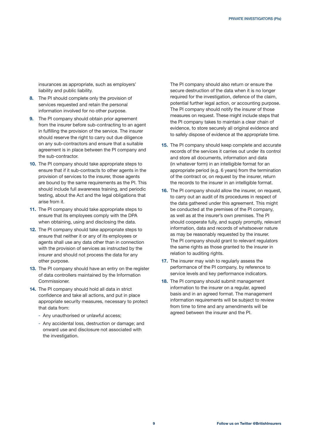insurances as appropriate, such as employers' liability and public liability.

- **8.** The PI should complete only the provision of services requested and retain the personal information involved for no other purpose.
- **9.** The PI company should obtain prior agreement from the insurer before sub-contracting to an agent in fulfilling the provision of the service. The insurer should reserve the right to carry out due diligence on any sub-contractors and ensure that a suitable agreement is in place between the PI company and the sub-contractor.
- **10.** The PI company should take appropriate steps to ensure that if it sub-contracts to other agents in the provision of services to the insurer, those agents are bound by the same requirements as the PI. This should include full awareness training, and periodic testing, about the Act and the legal obligations that arise from it.
- **11.** The PI company should take appropriate steps to ensure that its employees comply with the DPA when obtaining, using and disclosing the data.
- **12.** The PI company should take appropriate steps to ensure that neither it or any of its employees or agents shall use any data other than in connection with the provision of services as instructed by the insurer and should not process the data for any other purpose.
- **13.** The PI company should have an entry on the register of data controllers maintained by the Information Commissioner.
- **14.** The PI company should hold all data in strict confidence and take all actions, and put in place appropriate security measures, necessary to protect that data from:
	- Any unauthorised or unlawful access;
	- Any accidental loss, destruction or damage; and onward use and disclosure not associated with the investigation.

The PI company should also return or ensure the secure destruction of the data when it is no longer required for the investigation, defence of the claim, potential further legal action, or accounting purpose. The PI company should notify the insurer of those measures on request. These might include steps that the PI company takes to maintain a clear chain of evidence, to store securely all original evidence and to safely dispose of evidence at the appropriate time.

- **15.** The PI company should keep complete and accurate records of the services it carries out under its control and store all documents, information and data (in whatever form) in an intelligible format for an appropriate period (e.g. 6 years) from the termination of the contract or, on request by the insurer, return the records to the insurer in an intelligible format.
- **16.** The PI company should allow the insurer, on request, to carry out an audit of its procedures in respect of the data gathered under this agreement. This might be conducted at the premises of the PI company, as well as at the insurer's own premises. The PI should cooperate fully, and supply promptly, relevant information, data and records of whatsoever nature as may be reasonably requested by the insurer. The PI company should grant to relevant regulators the same rights as those granted to the insurer in relation to auditing rights.
- **17.** The insurer may wish to regularly assess the performance of the PI company, by reference to service levels and key performance indicators.
- **18.** The PI company should submit management information to the insurer on a regular, agreed basis and in an agreed format. The management information requirements will be subject to review from time to time and any amendments will be agreed between the insurer and the PI.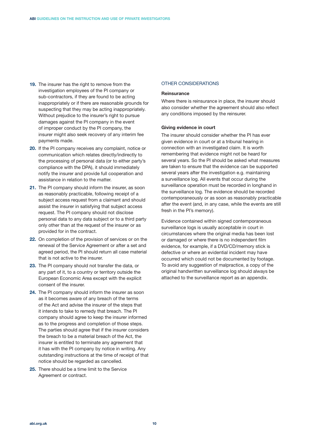- **19.** The insurer has the right to remove from the investigation employees of the PI company or sub-contractors, if they are found to be acting inappropriately or if there are reasonable grounds for suspecting that they may be acting inappropriately. Without prejudice to the insurer's right to pursue damages against the PI company in the event of improper conduct by the PI company, the insurer might also seek recovery of any interim fee payments made.
- **20.** If the PI company receives any complaint, notice or communication which relates directly/indirectly to the processing of personal data (or to either party's compliance with the DPA), it should immediately notify the insurer and provide full cooperation and assistance in relation to the matter.
- **21.** The PI company should inform the insurer, as soon as reasonably practicable, following receipt of a subject access request from a claimant and should assist the insurer in satisfying that subject access request. The PI company should not disclose personal data to any data subject or to a third party only other than at the request of the insurer or as provided for in the contract.
- **22.** On completion of the provision of services or on the renewal of the Service Agreement or after a set and agreed period, the PI should return all case material that is not active to the insurer.
- **23.** The PI company should not transfer the data, or any part of it, to a country or territory outside the European Economic Area except with the explicit consent of the insurer.
- **24.** The PI company should inform the insurer as soon as it becomes aware of any breach of the terms of the Act and advise the insurer of the steps that it intends to take to remedy that breach. The PI company should agree to keep the insurer informed as to the progress and completion of those steps. The parties should agree that if the insurer considers the breach to be a material breach of the Act, the insurer is entitled to terminate any agreement that it has with the PI company by notice in writing. Any outstanding instructions at the time of receipt of that notice should be regarded as cancelled.
- **25.** There should be a time limit to the Service Agreement or contract.

## OTHER CONSIDERATIONS

#### **Reinsurance**

Where there is reinsurance in place, the insurer should also consider whether the agreement should also reflect any conditions imposed by the reinsurer.

#### **Giving evidence in court**

The insurer should consider whether the PI has ever given evidence in court or at a tribunal hearing in connection with an investigated claim. It is worth remembering that evidence might not be heard for several years. So the PI should be asked what measures are taken to ensure that the evidence can be supported several years after the investigation e.g. maintaining a surveillance log. All events that occur during the surveillance operation must be recorded in longhand in the surveillance log. The evidence should be recorded contemporaneously or as soon as reasonably practicable after the event (and, in any case, while the events are still fresh in the PI's memory).

Evidence contained within signed contemporaneous surveillance logs is usually acceptable in court in circumstances where the original media has been lost or damaged or where there is no independent film evidence, for example, if a DVD/CD/memory stick is defective or where an evidential incident may have occurred which could not be documented by footage. To avoid any suggestion of malpractice, a copy of the original handwritten surveillance log should always be attached to the surveillance report as an appendix.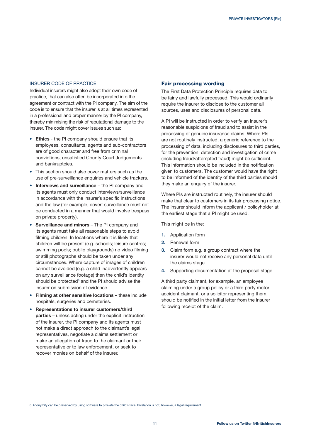## INSURER CODE OF PRACTICE

Individual insurers might also adopt their own code of practice, that can also often be incorporated into the agreement or contract with the PI company. The aim of the code is to ensure that the insurer is at all times represented in a professional and proper manner by the PI company, thereby minimising the risk of reputational damage to the insurer. The code might cover issues such as:

- **• Ethics** the PI company should ensure that its employees, consultants, agents and sub-contractors are of good character and free from criminal convictions, unsatisfied County Court Judgements and bankruptcies.
- **•**  This section should also cover matters such as the use of pre-surveillance enquiries and vehicle trackers.
- **• Interviews and surveillance**  the PI company and its agents must only conduct interviews/surveillance in accordance with the insurer's specific instructions and the law (for example, covert surveillance must not be conducted in a manner that would involve trespass on private property).
- **• Surveillance and minors** The PI company and its agents must take all reasonable steps to avoid filming children. In locations where it is likely that children will be present (e.g. schools; leisure centres; swimming pools; public playgrounds) no video filming or still photographs should be taken under any circumstances. Where capture of images of children cannot be avoided (e.g. a child inadvertently appears on any surveillance footage) then the child's identity should be protected $^{\circ}$  and the PI should advise the insurer on submission of evidence.
- **• Filming at other sensitive locations** these include hospitals, surgeries and cemeteries.
- **• Representations to insurer customers/third parties** – unless acting under the explicit instruction of the insurer, the PI company and its agents must not make a direct approach to the claimant's legal representatives, negotiate a claims settlement or make an allegation of fraud to the claimant or their representative or to law enforcement, or seek to recover monies on behalf of the insurer.

#### Fair processing wording

The First Data Protection Principle requires data to be fairly and lawfully processed. This would ordinarily require the insurer to disclose to the customer all sources, uses and disclosures of personal data.

A PI will be instructed in order to verify an insurer's reasonable suspicions of fraud and to assist in the processing of genuine insurance claims. Where PIs are not routinely instructed, a generic reference to the processing of data, including disclosures to third parties, for the prevention, detection and investigation of crime (including fraud/attempted fraud) might be sufficient. This information should be included in the notification given to customers. The customer would have the right to be informed of the identity of the third parties should they make an enquiry of the insurer.

Where PIs are instructed routinely, the insurer should make that clear to customers in its fair processing notice. The insurer should inform the applicant / policyholder at the earliest stage that a PI might be used.

This might be in the:

- **1.** Application form
- **2.** Renewal form
- **3.** Claim form e.g. a group contract where the insurer would not receive any personal data until the claims stage
- **4.** Supporting documentation at the proposal stage

A third party claimant, for example, an employee claiming under a group policy or a third party motor accident claimant, or a solicitor representing them, should be notified in the initial letter from the insurer following receipt of the claim.

<sup>6</sup> Anonymity can be preserved by using software to pixelate the child's face. Pixelation is not, however, a legal requirement.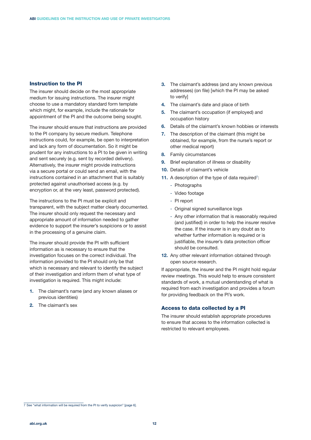### Instruction to the PI

The insurer should decide on the most appropriate medium for issuing instructions. The insurer might choose to use a mandatory standard form template which might, for example, include the rationale for appointment of the PI and the outcome being sought.

The insurer should ensure that instructions are provided to the PI company by secure medium. Telephone instructions could, for example, be open to interpretation and lack any form of documentation. So it might be prudent for any instructions to a PI to be given in writing and sent securely (e.g. sent by recorded delivery). Alternatively, the insurer might provide instructions via a secure portal or could send an email, with the instructions contained in an attachment that is suitably protected against unauthorised access (e.g. by encryption or, at the very least, password protected).

The instructions to the PI must be explicit and transparent, with the subject matter clearly documented. The insurer should only request the necessary and appropriate amount of information needed to gather evidence to support the insurer's suspicions or to assist in the processing of a genuine claim.

The insurer should provide the PI with sufficient information as is necessary to ensure that the investigation focuses on the correct individual. The information provided to the PI should only be that which is necessary and relevant to identify the subject of their investigation and inform them of what type of investigation is required. This might include:

- **1.** The claimant's name (and any known aliases or previous identities)
- **2.** The claimant's sex
- **3.** The claimant's address (and any known previous addresses) (on file) [which the PI may be asked to verify]
- **4.** The claimant's date and place of birth
- **5.** The claimant's occupation (if employed) and occupation history
- **6.** Details of the claimant's known hobbies or interests
- **7.** The description of the claimant (this might be obtained, for example, from the nurse's report or other medical report)
- **8.** Family circumstances
- **9.** Brief explanation of illness or disability
- **10.** Details of claimant's vehicle
- **11.** A description of the type of data required<sup>7</sup>:
	- Photographs
	- Video footage
	- PI report
	- Original signed surveillance logs
	- Any other information that is reasonably required (and justified) in order to help the insurer resolve the case. If the insurer is in any doubt as to whether further information is required or is justifiable, the insurer's data protection officer should be consulted.
- **12.** Any other relevant information obtained through open source research.

If appropriate, the insurer and the PI might hold regular review meetings. This would help to ensure consistent standards of work, a mutual understanding of what is required from each investigation and provides a forum for providing feedback on the PI's work.

## Access to data collected by a PI

The insurer should establish appropriate procedures to ensure that access to the information collected is restricted to relevant employees.

<sup>7</sup> See "what information will be required from the PI to verify suspicion" [page 6].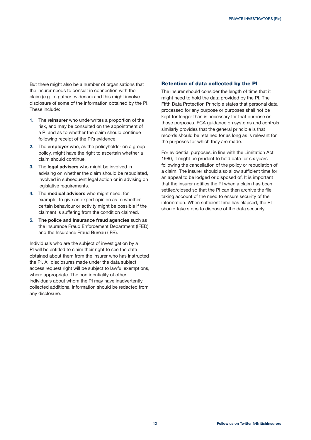But there might also be a number of organisations that the insurer needs to consult in connection with the claim (e.g. to gather evidence) and this might involve disclosure of some of the information obtained by the PI. These include:

- **1.** The **reinsurer** who underwrites a proportion of the risk, and may be consulted on the appointment of a PI and as to whether the claim should continue following receipt of the PI's evidence.
- **2.** The **employer** who, as the policyholder on a group policy, might have the right to ascertain whether a claim should continue.
- **3.** The **legal advisers** who might be involved in advising on whether the claim should be repudiated, involved in subsequent legal action or in advising on legislative requirements.
- **4.** The **medical advisers** who might need, for example, to give an expert opinion as to whether certain behaviour or activity might be possible if the claimant is suffering from the condition claimed.
- **5. The police and Insurance fraud agencies** such as the Insurance Fraud Enforcement Department (IFED) and the Insurance Fraud Bureau (IFB).

Individuals who are the subject of investigation by a PI will be entitled to claim their right to see the data obtained about them from the insurer who has instructed the PI. All disclosures made under the data subject access request right will be subject to lawful exemptions, where appropriate. The confidentiality of other individuals about whom the PI may have inadvertently collected additional information should be redacted from any disclosure.

## Retention of data collected by the PI

The insurer should consider the length of time that it might need to hold the data provided by the PI. The Fifth Data Protection Principle states that personal data processed for any purpose or purposes shall not be kept for longer than is necessary for that purpose or those purposes. FCA guidance on systems and controls similarly provides that the general principle is that records should be retained for as long as is relevant for the purposes for which they are made.

For evidential purposes, in line with the Limitation Act 1980, it might be prudent to hold data for six years following the cancellation of the policy or repudiation of a claim. The insurer should also allow sufficient time for an appeal to be lodged or disposed of. It is important that the insurer notifies the PI when a claim has been settled/closed so that the PI can then archive the file, taking account of the need to ensure security of the information. When sufficient time has elapsed, the PI should take steps to dispose of the data securely.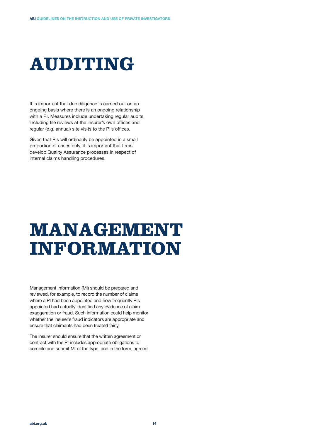# **AUDITING**

It is important that due diligence is carried out on an ongoing basis where there is an ongoing relationship with a PI. Measures include undertaking regular audits, including file reviews at the insurer's own offices and regular (e.g. annual) site visits to the PI's offices.

Given that PIs will ordinarily be appointed in a small proportion of cases only, it is important that firms develop Quality Assurance processes in respect of internal claims handling procedures.

## **MANAGEMENT INFORMATION**

Management Information (MI) should be prepared and reviewed, for example, to record the number of claims where a PI had been appointed and how frequently PIs appointed had actually identified any evidence of claim exaggeration or fraud. Such information could help monitor whether the insurer's fraud indicators are appropriate and ensure that claimants had been treated fairly.

The insurer should ensure that the written agreement or contract with the PI includes appropriate obligations to compile and submit MI of the type, and in the form, agreed.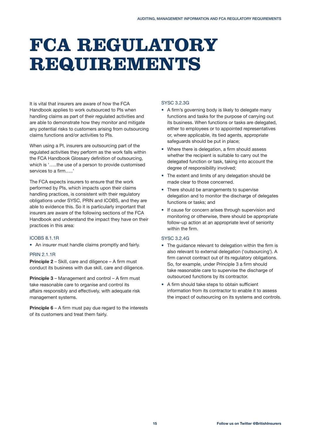## **FCA REGULATORY REQUIREMENTS**

It is vital that insurers are aware of how the FCA Handbook applies to work outsourced to PIs when handling claims as part of their regulated activities and are able to demonstrate how they monitor and mitigate any potential risks to customers arising from outsourcing claims functions and/or activities to PIs.

When using a PI, insurers are outsourcing part of the regulated activities they perform as the work falls within the FCA Handbook Glossary definition of outsourcing, which is '…..the use of a person to provide customised services to a firm…..'

The FCA expects insurers to ensure that the work performed by PIs, which impacts upon their claims handling practices, is consistent with their regulatory obligations under SYSC, PRIN and ICOBS, and they are able to evidence this. So it is particularly important that insurers are aware of the following sections of the FCA Handbook and understand the impact they have on their practices in this area:

### ICOBS 8.1.1R

**•**  An insurer must handle claims promptly and fairly.

### PRIN 2.1.1R

**Principle 2** – Skill, care and diligence – A firm must conduct its business with due skill, care and diligence.

**Principle 3** – Management and control – A firm must take reasonable care to organise and control its affairs responsibly and effectively, with adequate risk management systems.

**Principle 6** – A firm must pay due regard to the interests of its customers and treat them fairly.

### SYSC 3.2.3G

- **•**  A firm's governing body is likely to delegate many functions and tasks for the purpose of carrying out its business. When functions or tasks are delegated, either to employees or to appointed representatives or, where applicable, its tied agents, appropriate safeguards should be put in place;
- Where there is delegation, a firm should assess whether the recipient is suitable to carry out the delegated function or task, taking into account the degree of responsibility involved;
- The extent and limits of any delegation should be made clear to those concerned.
- **•**  There should be arrangements to supervise delegation and to monitor the discharge of delegates functions or tasks; and
- **•**  If cause for concern arises through supervision and monitoring or otherwise, there should be appropriate follow-up action at an appropriate level of seniority within the firm.

## SYSC 3.2.4G

- The quidance relevant to delegation within the firm is also relevant to external delegation ('outsourcing'). A firm cannot contract out of its regulatory obligations. So, for example, under Principle 3 a firm should take reasonable care to supervise the discharge of outsourced functions by its contractor.
- **•**  A firm should take steps to obtain sufficient information from its contractor to enable it to assess the impact of outsourcing on its systems and controls.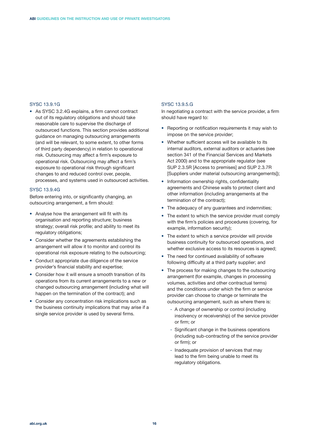### SYSC 13.9.1G

**•**  As SYSC 3.2.4G explains, a firm cannot contract out of its regulatory obligations and should take reasonable care to supervise the discharge of outsourced functions. This section provides additional guidance on managing outsourcing arrangements (and will be relevant, to some extent, to other forms of third party dependency) in relation to operational risk. Outsourcing may affect a firm's exposure to operational risk. Outsourcing may affect a firm's exposure to operational risk through significant changes to and reduced control over, people, processes, and systems used in outsourced activities.

#### SYSC 13.9.4G

Before entering into, or significantly changing, an outsourcing arrangement, a firm should:

- **•**  Analyse how the arrangement will fit with its organisation and reporting structure; business strategy; overall risk profile; and ability to meet its regulatory obligations;
- **•**  Consider whether the agreements establishing the arrangement will allow it to monitor and control its operational risk exposure relating to the outsourcing;
- **•**  Conduct appropriate due diligence of the service provider's financial stability and expertise;
- **•**  Consider how it will ensure a smooth transition of its operations from its current arrangements to a new or changed outsourcing arrangement (including what will happen on the termination of the contract); and
- **•**  Consider any concentration risk implications such as the business continuity implications that may arise if a single service provider is used by several firms.

#### SYSC 13.9.5.G

In negotiating a contract with the service provider, a firm should have regard to:

- **•**  Reporting or notification requirements it may wish to impose on the service provider;
- Whether sufficient access will be available to its internal auditors, external auditors or actuaries (see section 341 of the Financial Services and Markets Act 2000) and to the appropriate regulator (see SUP 2.3.5R [Access to premises] and SUP 2.3.7R [Suppliers under material outsourcing arrangements]);
- Information ownership rights, confidentiality agreements and Chinese walls to protect client and other information (including arrangements at the termination of the contract);
- The adequacy of any guarantees and indemnities;
- The extent to which the service provider must comply with the firm's policies and procedures (covering, for example, information security);
- The extent to which a service provider will provide business continuity for outsourced operations, and whether exclusive access to its resources is agreed;
- **•**  The need for continued availability of software following difficulty at a third party supplier; and
- The process for making changes to the outsourcing arrangement (for example, changes in processing volumes, activities and other contractual terms) and the conditions under which the firm or service provider can choose to change or terminate the outsourcing arrangement, such as where there is:
	- A change of ownership or control (including insolvency or receivership) of the service provider or firm; or
	- Significant change in the business operations (including sub-contracting of the service provider or firm); or
	- Inadequate provision of services that may lead to the firm being unable to meet its regulatory obligations.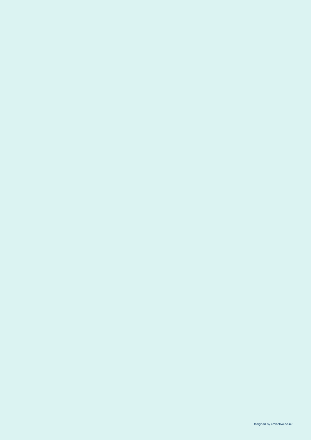**17 Follow us on Twitter @BritishInsurers** Designed by iloveclive.co.uk